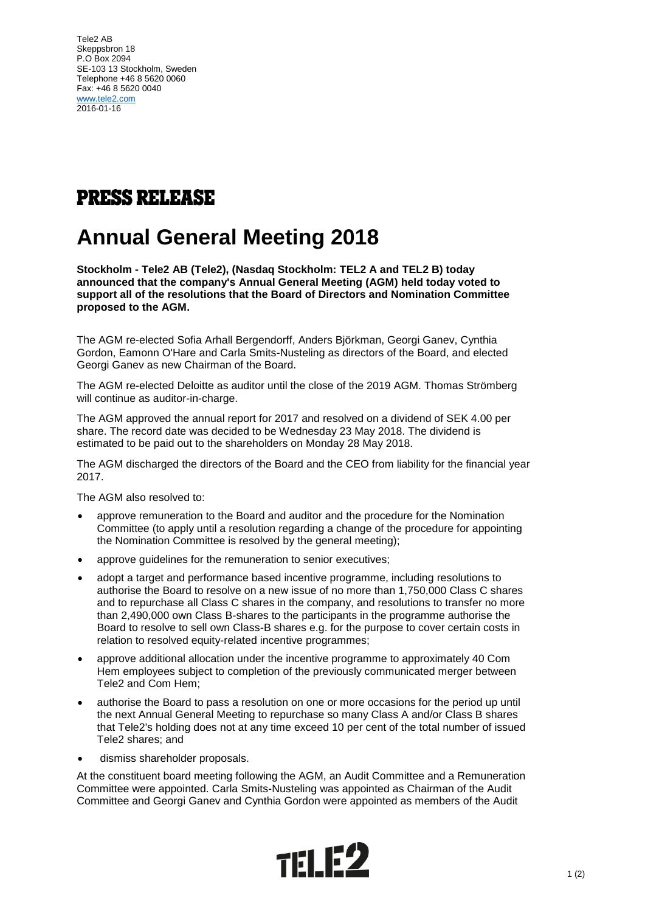Tele2 AB Skeppsbron 18 P.O Box 2094 SE-103 13 Stockholm, Sweden Telephone +46 8 5620 0060 Fax: +46 8 5620 0040 [www.tele2.com](http://www.tele2.com/) 2016-01-16

## **PRESS RELEASE**

## **Annual General Meeting 2018**

**Stockholm - Tele2 AB (Tele2), (Nasdaq Stockholm: TEL2 A and TEL2 B) today announced that the company's Annual General Meeting (AGM) held today voted to support all of the resolutions that the Board of Directors and Nomination Committee proposed to the AGM.**

The AGM re-elected Sofia Arhall Bergendorff, Anders Björkman, Georgi Ganev, Cynthia Gordon, Eamonn O'Hare and Carla Smits-Nusteling as directors of the Board, and elected Georgi Ganev as new Chairman of the Board.

The AGM re-elected Deloitte as auditor until the close of the 2019 AGM. Thomas Strömberg will continue as auditor-in-charge.

The AGM approved the annual report for 2017 and resolved on a dividend of SEK 4.00 per share. The record date was decided to be Wednesday 23 May 2018. The dividend is estimated to be paid out to the shareholders on Monday 28 May 2018.

The AGM discharged the directors of the Board and the CEO from liability for the financial year 2017.

The AGM also resolved to:

- approve remuneration to the Board and auditor and the procedure for the Nomination Committee (to apply until a resolution regarding a change of the procedure for appointing the Nomination Committee is resolved by the general meeting);
- approve guidelines for the remuneration to senior executives;
- adopt a target and performance based incentive programme, including resolutions to authorise the Board to resolve on a new issue of no more than 1,750,000 Class C shares and to repurchase all Class C shares in the company, and resolutions to transfer no more than 2,490,000 own Class B-shares to the participants in the programme authorise the Board to resolve to sell own Class-B shares e.g. for the purpose to cover certain costs in relation to resolved equity-related incentive programmes;
- approve additional allocation under the incentive programme to approximately 40 Com Hem employees subject to completion of the previously communicated merger between Tele2 and Com Hem;
- authorise the Board to pass a resolution on one or more occasions for the period up until the next Annual General Meeting to repurchase so many Class A and/or Class B shares that Tele2's holding does not at any time exceed 10 per cent of the total number of issued Tele2 shares; and
- dismiss shareholder proposals.

At the constituent board meeting following the AGM, an Audit Committee and a Remuneration Committee were appointed. Carla Smits-Nusteling was appointed as Chairman of the Audit Committee and Georgi Ganev and Cynthia Gordon were appointed as members of the Audit